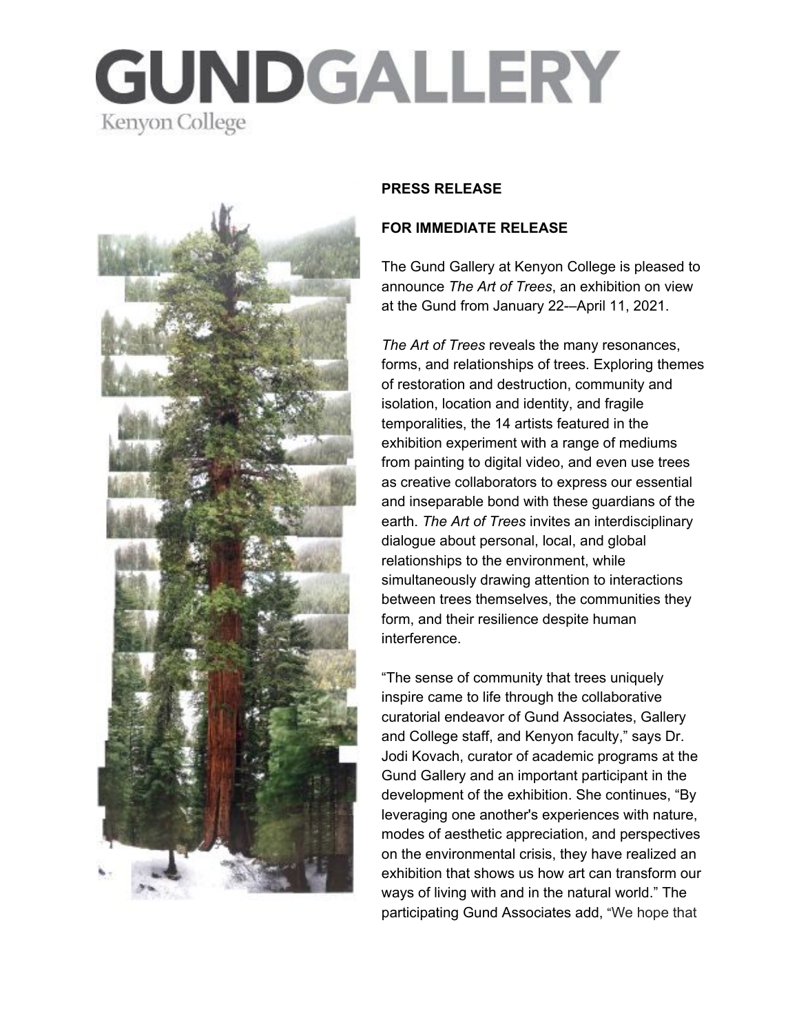# GUNDGALLERY Kenyon College



#### **PRESS RELEASE**

#### **FOR IMMEDIATE RELEASE**

The Gund Gallery at Kenyon College is pleased to announce *The Art of Trees*, an exhibition on view at the Gund from January 22-–April 11, 2021.

*The Art of Trees* reveals the many resonances, forms, and relationships of trees. Exploring themes of restoration and destruction, community and isolation, location and identity, and fragile temporalities, the 14 artists featured in the exhibition experiment with a range of mediums from painting to digital video, and even use trees as creative collaborators to express our essential and inseparable bond with these guardians of the earth. *The Art of Trees* invites an interdisciplinary dialogue about personal, local, and global relationships to the environment, while simultaneously drawing attention to interactions between trees themselves, the communities they form, and their resilience despite human interference.

"The sense of community that trees uniquely inspire came to life through the collaborative curatorial endeavor of Gund Associates, Gallery and College staff, and Kenyon faculty," says Dr. Jodi Kovach, curator of academic programs at the Gund Gallery and an important participant in the development of the exhibition. She continues, "By leveraging one another's experiences with nature, modes of aesthetic appreciation, and perspectives on the environmental crisis, they have realized an exhibition that shows us how art can transform our ways of living with and in the natural world." The participating Gund Associates add, "We hope that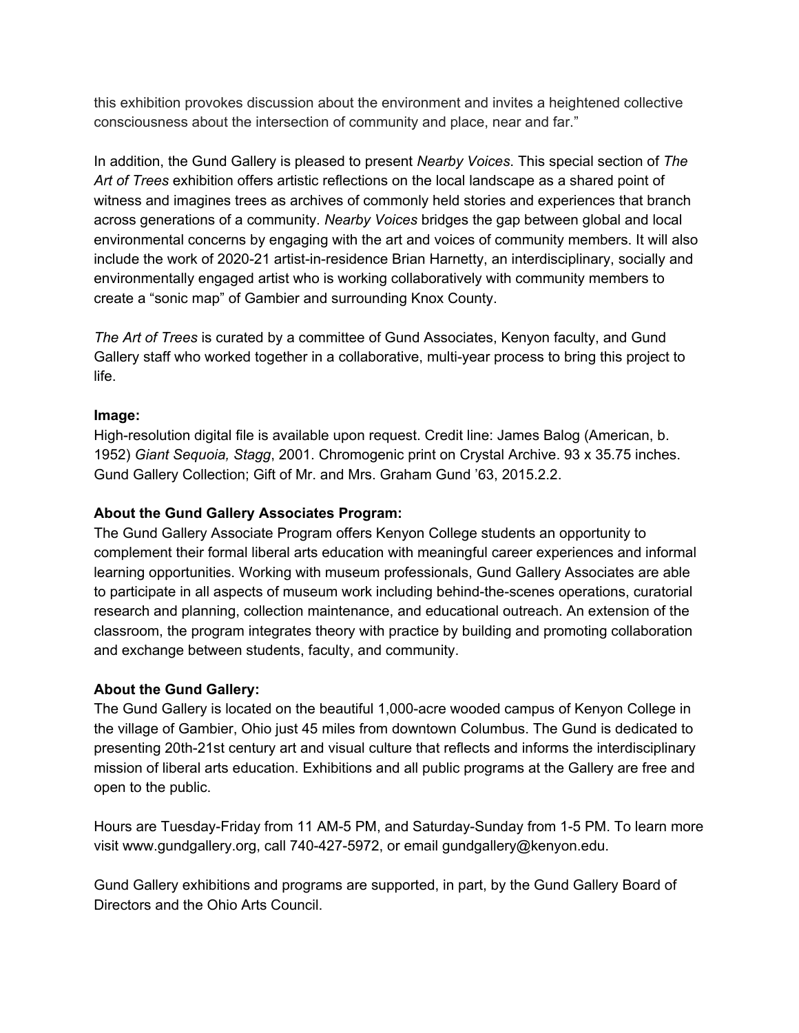this exhibition provokes discussion about the environment and invites a heightened collective consciousness about the intersection of community and place, near and far."

In addition, the Gund Gallery is pleased to present *Nearby Voices*. This special section of *The Art of Trees* exhibition offers artistic reflections on the local landscape as a shared point of witness and imagines trees as archives of commonly held stories and experiences that branch across generations of a community. *Nearby Voices* bridges the gap between global and local environmental concerns by engaging with the art and voices of community members. It will also include the work of 2020-21 artist-in-residence Brian Harnetty, an interdisciplinary, socially and environmentally engaged artist who is working collaboratively with community members to create a "sonic map" of Gambier and surrounding Knox County.

*The Art of Trees* is curated by a committee of Gund Associates, Kenyon faculty, and Gund Gallery staff who worked together in a collaborative, multi-year process to bring this project to life.

### **Image:**

High-resolution digital file is available upon request. Credit line: James Balog (American, b. 1952) *Giant Sequoia, Stagg*, 2001. Chromogenic print on Crystal Archive. 93 x 35.75 inches. Gund Gallery Collection; Gift of Mr. and Mrs. Graham Gund '63, 2015.2.2.

## **About the Gund Gallery Associates Program:**

The Gund Gallery Associate Program offers Kenyon College students an opportunity to complement their formal liberal arts education with meaningful career experiences and informal learning opportunities. Working with museum professionals, Gund Gallery Associates are able to participate in all aspects of museum work including behind-the-scenes operations, curatorial research and planning, collection maintenance, and educational outreach. An extension of the classroom, the program integrates theory with practice by building and promoting collaboration and exchange between students, faculty, and community.

### **About the Gund Gallery:**

The Gund Gallery is located on the beautiful 1,000-acre wooded campus of Kenyon College in the village of Gambier, Ohio just 45 miles from downtown Columbus. The Gund is dedicated to presenting 20th-21st century art and visual culture that reflects and informs the interdisciplinary mission of liberal arts education. Exhibitions and all public programs at the Gallery are free and open to the public.

Hours are Tuesday-Friday from 11 AM-5 PM, and Saturday-Sunday from 1-5 PM. To learn more visit www.gundgallery.org, call 740-427-5972, or email gundgallery@kenyon.edu.

Gund Gallery exhibitions and programs are supported, in part, by the Gund Gallery Board of Directors and the Ohio Arts Council.